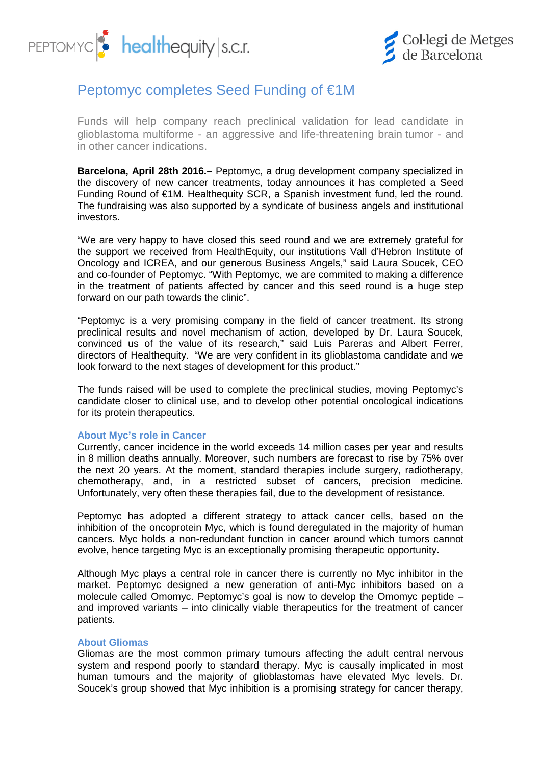



# Peptomyc completes Seed Funding of €1M

Funds will help company reach preclinical validation for lead candidate in glioblastoma multiforme - an aggressive and life-threatening brain tumor - and in other cancer indications.

**Barcelona, April 28th 2016.–** Peptomyc, a drug development company specialized in the discovery of new cancer treatments, today announces it has completed a Seed Funding Round of €1M. Healthequity SCR, a Spanish investment fund, led the round. The fundraising was also supported by a syndicate of business angels and institutional investors.

"We are very happy to have closed this seed round and we are extremely grateful for the support we received from HealthEquity, our institutions Vall d'Hebron Institute of Oncology and ICREA, and our generous Business Angels," said Laura Soucek, CEO and co-founder of Peptomyc. "With Peptomyc, we are commited to making a difference in the treatment of patients affected by cancer and this seed round is a huge step forward on our path towards the clinic".

"Peptomyc is a very promising company in the field of cancer treatment. Its strong preclinical results and novel mechanism of action, developed by Dr. Laura Soucek, convinced us of the value of its research," said Luis Pareras and Albert Ferrer, directors of Healthequity. "We are very confident in its glioblastoma candidate and we look forward to the next stages of development for this product."

The funds raised will be used to complete the preclinical studies, moving Peptomyc's candidate closer to clinical use, and to develop other potential oncological indications for its protein therapeutics.

## **About Myc's role in Cancer**

Currently, cancer incidence in the world exceeds 14 million cases per year and results in 8 million deaths annually. Moreover, such numbers are forecast to rise by 75% over the next 20 years. At the moment, standard therapies include surgery, radiotherapy, chemotherapy, and, in a restricted subset of cancers, precision medicine. Unfortunately, very often these therapies fail, due to the development of resistance.

Peptomyc has adopted a different strategy to attack cancer cells, based on the inhibition of the oncoprotein Myc, which is found deregulated in the majority of human cancers. Myc holds a non-redundant function in cancer around which tumors cannot evolve, hence targeting Myc is an exceptionally promising therapeutic opportunity.

Although Myc plays a central role in cancer there is currently no Myc inhibitor in the market. Peptomyc designed a new generation of anti-Myc inhibitors based on a molecule called Omomyc. Peptomyc's goal is now to develop the Omomyc peptide – and improved variants – into clinically viable therapeutics for the treatment of cancer patients.

## **About Gliomas**

Gliomas are the most common primary tumours affecting the adult central nervous system and respond poorly to standard therapy. Myc is causally implicated in most human tumours and the majority of glioblastomas have elevated Myc levels. Dr. Soucek's group showed that Myc inhibition is a promising strategy for cancer therapy,